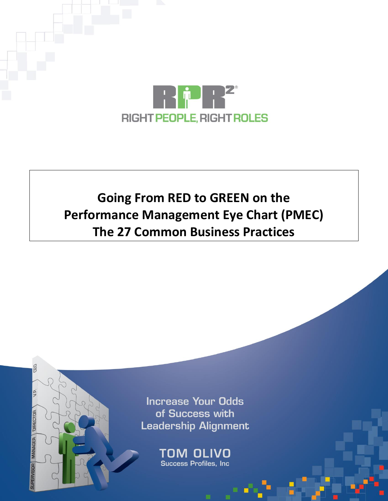

## **Going From RED to GREEN on the Performance Management Eye Chart (PMEC) The 27 Common Business Practices**

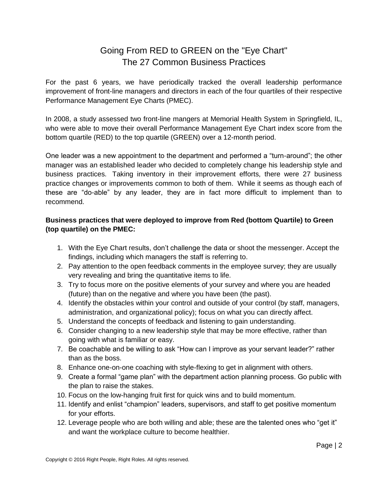## Going From RED to GREEN on the "Eye Chart" The 27 Common Business Practices

For the past 6 years, we have periodically tracked the overall leadership performance improvement of front-line managers and directors in each of the four quartiles of their respective Performance Management Eye Charts (PMEC).

In 2008, a study assessed two front-line mangers at Memorial Health System in Springfield, IL, who were able to move their overall Performance Management Eye Chart index score from the bottom quartile (RED) to the top quartile (GREEN) over a 12-month period.

One leader was a new appointment to the department and performed a "turn-around"; the other manager was an established leader who decided to completely change his leadership style and business practices. Taking inventory in their improvement efforts, there were 27 business practice changes or improvements common to both of them. While it seems as though each of these are "do-able" by any leader, they are in fact more difficult to implement than to recommend.

## **Business practices that were deployed to improve from Red (bottom Quartile) to Green (top quartile) on the PMEC:**

- 1. With the Eye Chart results, don't challenge the data or shoot the messenger. Accept the findings, including which managers the staff is referring to.
- 2. Pay attention to the open feedback comments in the employee survey; they are usually very revealing and bring the quantitative items to life.
- 3. Try to focus more on the positive elements of your survey and where you are headed (future) than on the negative and where you have been (the past).
- 4. Identify the obstacles within your control and outside of your control (by staff, managers, administration, and organizational policy); focus on what you can directly affect.
- 5. Understand the concepts of feedback and listening to gain understanding.
- 6. Consider changing to a new leadership style that may be more effective, rather than going with what is familiar or easy.
- 7. Be coachable and be willing to ask "How can I improve as your servant leader?" rather than as the boss.
- 8. Enhance one-on-one coaching with style-flexing to get in alignment with others.
- 9. Create a formal "game plan" with the department action planning process. Go public with the plan to raise the stakes.
- 10. Focus on the low-hanging fruit first for quick wins and to build momentum.
- 11. Identify and enlist "champion" leaders, supervisors, and staff to get positive momentum for your efforts.
- 12. Leverage people who are both willing and able; these are the talented ones who "get it" and want the workplace culture to become healthier.